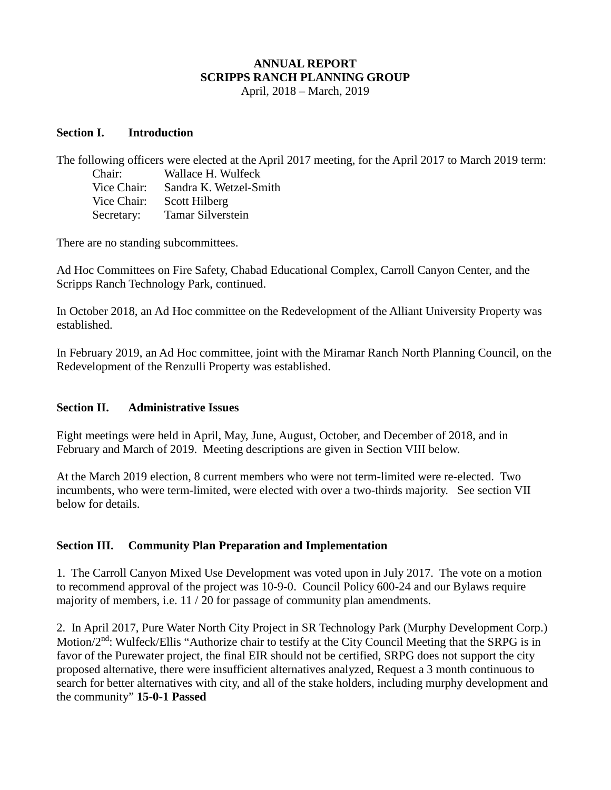# **ANNUAL REPORT SCRIPPS RANCH PLANNING GROUP**

April, 2018 – March, 2019

#### **Section I. Introduction**

The following officers were elected at the April 2017 meeting, for the April 2017 to March 2019 term: Chair: Wallace H. Wulfeck Vice Chair: Sandra K. Wetzel-Smith Vice Chair: Scott Hilberg Secretary: Tamar Silverstein

There are no standing subcommittees.

Ad Hoc Committees on Fire Safety, Chabad Educational Complex, Carroll Canyon Center, and the Scripps Ranch Technology Park, continued.

In October 2018, an Ad Hoc committee on the Redevelopment of the Alliant University Property was established.

In February 2019, an Ad Hoc committee, joint with the Miramar Ranch North Planning Council, on the Redevelopment of the Renzulli Property was established.

#### **Section II. Administrative Issues**

Eight meetings were held in April, May, June, August, October, and December of 2018, and in February and March of 2019. Meeting descriptions are given in Section VIII below.

At the March 2019 election, 8 current members who were not term-limited were re-elected. Two incumbents, who were term-limited, were elected with over a two-thirds majority. See section VII below for details.

### **Section III. Community Plan Preparation and Implementation**

1. The Carroll Canyon Mixed Use Development was voted upon in July 2017. The vote on a motion to recommend approval of the project was 10-9-0. Council Policy 600-24 and our Bylaws require majority of members, i.e. 11 / 20 for passage of community plan amendments.

2. In April 2017, Pure Water North City Project in SR Technology Park (Murphy Development Corp.) Motion/2<sup>nd</sup>: Wulfeck/Ellis "Authorize chair to testify at the City Council Meeting that the SRPG is in favor of the Purewater project, the final EIR should not be certified, SRPG does not support the city proposed alternative, there were insufficient alternatives analyzed, Request a 3 month continuous to search for better alternatives with city, and all of the stake holders, including murphy development and the community" **15-0-1 Passed**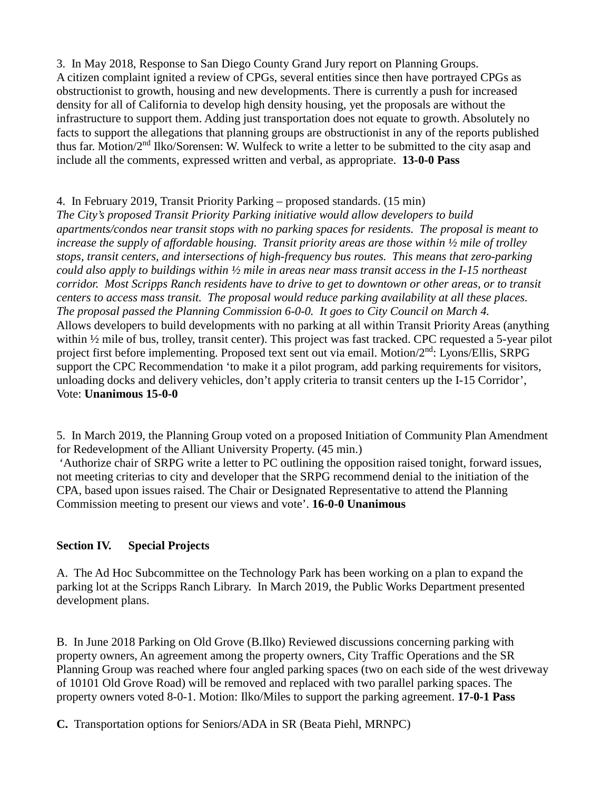3. In May 2018, Response to San Diego County Grand Jury report on Planning Groups. A citizen complaint ignited a review of CPGs, several entities since then have portrayed CPGs as obstructionist to growth, housing and new developments. There is currently a push for increased density for all of California to develop high density housing, yet the proposals are without the infrastructure to support them. Adding just transportation does not equate to growth. Absolutely no facts to support the allegations that planning groups are obstructionist in any of the reports published thus far. Motion/ $2<sup>nd</sup>$  Ilko/Sorensen: W. Wulfeck to write a letter to be submitted to the city asap and include all the comments, expressed written and verbal, as appropriate. **13-0-0 Pass**

## 4. In February 2019, Transit Priority Parking – proposed standards. (15 min)

*The City's proposed Transit Priority Parking initiative would allow developers to build apartments/condos near transit stops with no parking spaces for residents. The proposal is meant to increase the supply of affordable housing. Transit priority areas are those within ½ mile of trolley stops, transit centers, and intersections of high-frequency bus routes. This means that zero-parking could also apply to buildings within ½ mile in areas near mass transit access in the I-15 northeast corridor. Most Scripps Ranch residents have to drive to get to downtown or other areas, or to transit centers to access mass transit. The proposal would reduce parking availability at all these places. The proposal passed the Planning Commission 6-0-0. It goes to City Council on March 4.* Allows developers to build developments with no parking at all within Transit Priority Areas (anything within ½ mile of bus, trolley, transit center). This project was fast tracked. CPC requested a 5-year pilot project first before implementing. Proposed text sent out via email. Motion/2<sup>nd</sup>: Lyons/Ellis, SRPG support the CPC Recommendation 'to make it a pilot program, add parking requirements for visitors, unloading docks and delivery vehicles, don't apply criteria to transit centers up the I-15 Corridor', Vote: **Unanimous 15-0-0**

5. In March 2019, the Planning Group voted on a proposed Initiation of Community Plan Amendment for Redevelopment of the Alliant University Property. (45 min.)

'Authorize chair of SRPG write a letter to PC outlining the opposition raised tonight, forward issues, not meeting criterias to city and developer that the SRPG recommend denial to the initiation of the CPA, based upon issues raised. The Chair or Designated Representative to attend the Planning Commission meeting to present our views and vote'. **16-0-0 Unanimous**

### **Section IV. Special Projects**

A. The Ad Hoc Subcommittee on the Technology Park has been working on a plan to expand the parking lot at the Scripps Ranch Library. In March 2019, the Public Works Department presented development plans.

B. In June 2018 Parking on Old Grove (B.Ilko) Reviewed discussions concerning parking with property owners, An agreement among the property owners, City Traffic Operations and the SR Planning Group was reached where four angled parking spaces (two on each side of the west driveway of 10101 Old Grove Road) will be removed and replaced with two parallel parking spaces. The property owners voted 8-0-1. Motion: Ilko/Miles to support the parking agreement. **17-0-1 Pass**

**C.** Transportation options for Seniors/ADA in SR (Beata Piehl, MRNPC)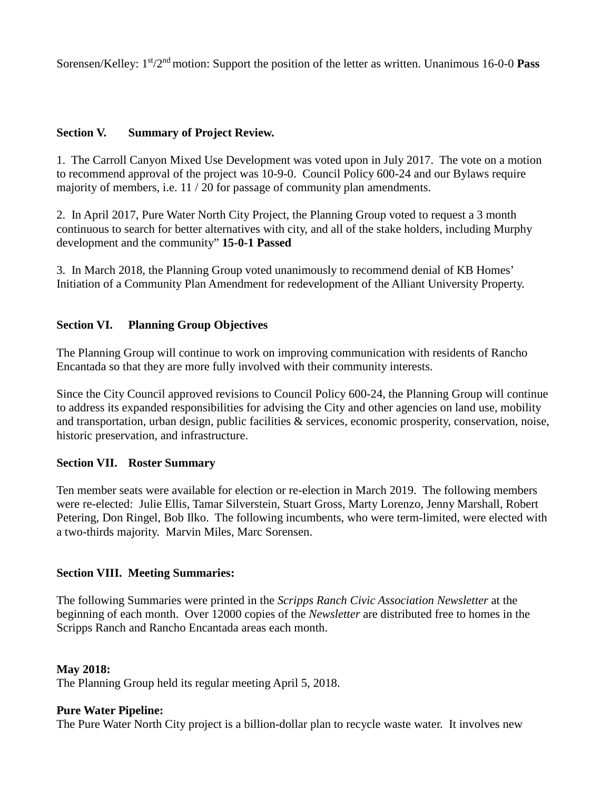Sorensen/Kelley: 1st/2nd motion: Support the position of the letter as written. Unanimous 16-0-0 **Pass**

### **Section V. Summary of Project Review.**

1. The Carroll Canyon Mixed Use Development was voted upon in July 2017. The vote on a motion to recommend approval of the project was 10-9-0. Council Policy 600-24 and our Bylaws require majority of members, i.e. 11 / 20 for passage of community plan amendments.

2. In April 2017, Pure Water North City Project, the Planning Group voted to request a 3 month continuous to search for better alternatives with city, and all of the stake holders, including Murphy development and the community" **15-0-1 Passed**

3. In March 2018, the Planning Group voted unanimously to recommend denial of KB Homes' Initiation of a Community Plan Amendment for redevelopment of the Alliant University Property.

### **Section VI. Planning Group Objectives**

The Planning Group will continue to work on improving communication with residents of Rancho Encantada so that they are more fully involved with their community interests.

Since the City Council approved revisions to Council Policy 600-24, the Planning Group will continue to address its expanded responsibilities for advising the City and other agencies on land use, mobility and transportation, urban design, public facilities & services, economic prosperity, conservation, noise, historic preservation, and infrastructure.

#### **Section VII. Roster Summary**

Ten member seats were available for election or re-election in March 2019. The following members were re-elected: Julie Ellis, Tamar Silverstein, Stuart Gross, Marty Lorenzo, Jenny Marshall, Robert Petering, Don Ringel, Bob Ilko. The following incumbents, who were term-limited, were elected with a two-thirds majority. Marvin Miles, Marc Sorensen.

#### **Section VIII. Meeting Summaries:**

The following Summaries were printed in the *Scripps Ranch Civic Association Newsletter* at the beginning of each month. Over 12000 copies of the *Newsletter* are distributed free to homes in the Scripps Ranch and Rancho Encantada areas each month.

#### **May 2018:**

The Planning Group held its regular meeting April 5, 2018.

### **Pure Water Pipeline:**

The Pure Water North City project is a billion-dollar plan to recycle waste water. It involves new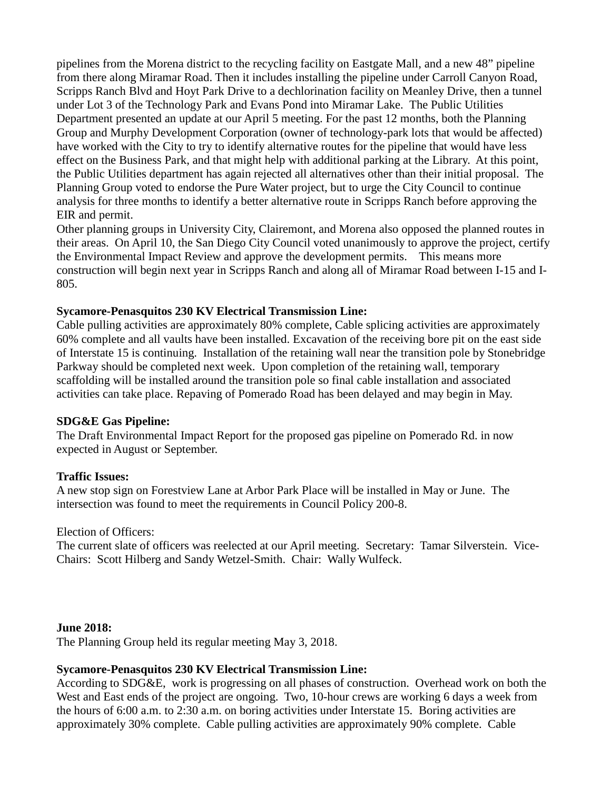pipelines from the Morena district to the recycling facility on Eastgate Mall, and a new 48" pipeline from there along Miramar Road. Then it includes installing the pipeline under Carroll Canyon Road, Scripps Ranch Blvd and Hoyt Park Drive to a dechlorination facility on Meanley Drive, then a tunnel under Lot 3 of the Technology Park and Evans Pond into Miramar Lake. The Public Utilities Department presented an update at our April 5 meeting. For the past 12 months, both the Planning Group and Murphy Development Corporation (owner of technology-park lots that would be affected) have worked with the City to try to identify alternative routes for the pipeline that would have less effect on the Business Park, and that might help with additional parking at the Library. At this point, the Public Utilities department has again rejected all alternatives other than their initial proposal. The Planning Group voted to endorse the Pure Water project, but to urge the City Council to continue analysis for three months to identify a better alternative route in Scripps Ranch before approving the EIR and permit.

Other planning groups in University City, Clairemont, and Morena also opposed the planned routes in their areas. On April 10, the San Diego City Council voted unanimously to approve the project, certify the Environmental Impact Review and approve the development permits. This means more construction will begin next year in Scripps Ranch and along all of Miramar Road between I-15 and I-805.

#### **Sycamore-Penasquitos 230 KV Electrical Transmission Line:**

Cable pulling activities are approximately 80% complete, Cable splicing activities are approximately 60% complete and all vaults have been installed. Excavation of the receiving bore pit on the east side of Interstate 15 is continuing. Installation of the retaining wall near the transition pole by Stonebridge Parkway should be completed next week. Upon completion of the retaining wall, temporary scaffolding will be installed around the transition pole so final cable installation and associated activities can take place. Repaving of Pomerado Road has been delayed and may begin in May.

#### **SDG&E Gas Pipeline:**

The Draft Environmental Impact Report for the proposed gas pipeline on Pomerado Rd. in now expected in August or September.

### **Traffic Issues:**

A new stop sign on Forestview Lane at Arbor Park Place will be installed in May or June. The intersection was found to meet the requirements in Council Policy 200-8.

### Election of Officers:

The current slate of officers was reelected at our April meeting. Secretary: Tamar Silverstein. Vice-Chairs: Scott Hilberg and Sandy Wetzel-Smith. Chair: Wally Wulfeck.

### **June 2018:**

The Planning Group held its regular meeting May 3, 2018.

### **Sycamore-Penasquitos 230 KV Electrical Transmission Line:**

According to SDG&E, work is progressing on all phases of construction. Overhead work on both the West and East ends of the project are ongoing. Two, 10-hour crews are working 6 days a week from the hours of 6:00 a.m. to 2:30 a.m. on boring activities under Interstate 15. Boring activities are approximately 30% complete. Cable pulling activities are approximately 90% complete. Cable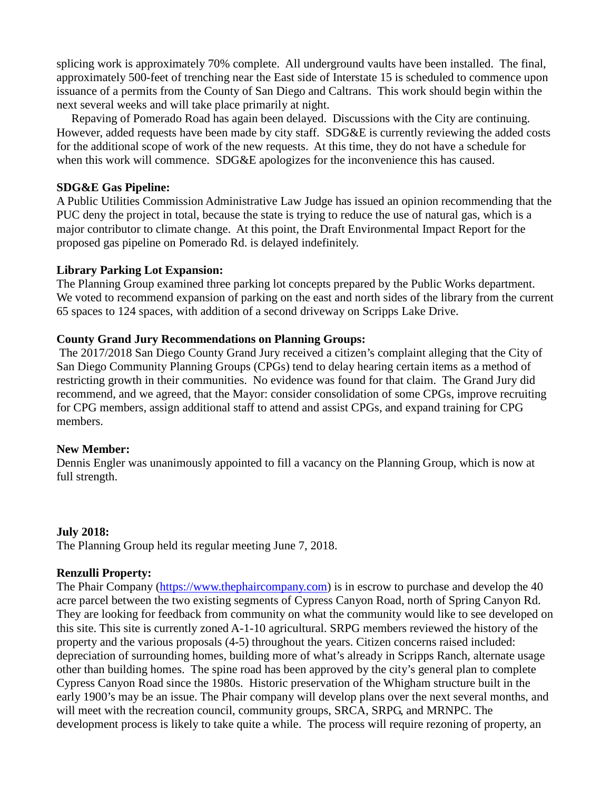splicing work is approximately 70% complete. All underground vaults have been installed. The final, approximately 500-feet of trenching near the East side of Interstate 15 is scheduled to commence upon issuance of a permits from the County of San Diego and Caltrans. This work should begin within the next several weeks and will take place primarily at night.

 Repaving of Pomerado Road has again been delayed. Discussions with the City are continuing. However, added requests have been made by city staff. SDG&E is currently reviewing the added costs for the additional scope of work of the new requests. At this time, they do not have a schedule for when this work will commence. SDG&E apologizes for the inconvenience this has caused.

#### **SDG&E Gas Pipeline:**

A Public Utilities Commission Administrative Law Judge has issued an opinion recommending that the PUC deny the project in total, because the state is trying to reduce the use of natural gas, which is a major contributor to climate change. At this point, the Draft Environmental Impact Report for the proposed gas pipeline on Pomerado Rd. is delayed indefinitely.

#### **Library Parking Lot Expansion:**

The Planning Group examined three parking lot concepts prepared by the Public Works department. We voted to recommend expansion of parking on the east and north sides of the library from the current 65 spaces to 124 spaces, with addition of a second driveway on Scripps Lake Drive.

#### **County Grand Jury Recommendations on Planning Groups:**

The 2017/2018 San Diego County Grand Jury received a citizen's complaint alleging that the City of San Diego Community Planning Groups (CPGs) tend to delay hearing certain items as a method of restricting growth in their communities. No evidence was found for that claim. The Grand Jury did recommend, and we agreed, that the Mayor: consider consolidation of some CPGs, improve recruiting for CPG members, assign additional staff to attend and assist CPGs, and expand training for CPG members.

#### **New Member:**

Dennis Engler was unanimously appointed to fill a vacancy on the Planning Group, which is now at full strength.

#### **July 2018:**

The Planning Group held its regular meeting June 7, 2018.

#### **Renzulli Property:**

The Phair Company [\(https://www.thephaircompany.com\)](https://www.thephaircompany.com/) is in escrow to purchase and develop the 40 acre parcel between the two existing segments of Cypress Canyon Road, north of Spring Canyon Rd. They are looking for feedback from community on what the community would like to see developed on this site. This site is currently zoned A-1-10 agricultural. SRPG members reviewed the history of the property and the various proposals (4-5) throughout the years. Citizen concerns raised included: depreciation of surrounding homes, building more of what's already in Scripps Ranch, alternate usage other than building homes. The spine road has been approved by the city's general plan to complete Cypress Canyon Road since the 1980s. Historic preservation of the Whigham structure built in the early 1900's may be an issue. The Phair company will develop plans over the next several months, and will meet with the recreation council, community groups, SRCA, SRPG, and MRNPC. The development process is likely to take quite a while. The process will require rezoning of property, an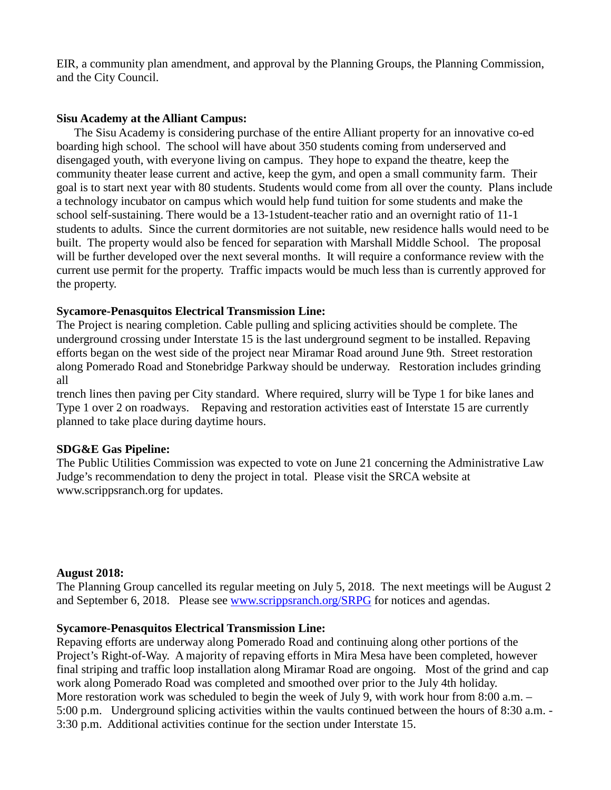EIR, a community plan amendment, and approval by the Planning Groups, the Planning Commission, and the City Council.

#### **Sisu Academy at the Alliant Campus:**

 The Sisu Academy is considering purchase of the entire Alliant property for an innovative co-ed boarding high school. The school will have about 350 students coming from underserved and disengaged youth, with everyone living on campus. They hope to expand the theatre, keep the community theater lease current and active, keep the gym, and open a small community farm. Their goal is to start next year with 80 students. Students would come from all over the county. Plans include a technology incubator on campus which would help fund tuition for some students and make the school self-sustaining. There would be a 13-1student-teacher ratio and an overnight ratio of 11-1 students to adults. Since the current dormitories are not suitable, new residence halls would need to be built. The property would also be fenced for separation with Marshall Middle School. The proposal will be further developed over the next several months. It will require a conformance review with the current use permit for the property. Traffic impacts would be much less than is currently approved for the property.

### **Sycamore-Penasquitos Electrical Transmission Line:**

The Project is nearing completion. Cable pulling and splicing activities should be complete. The underground crossing under Interstate 15 is the last underground segment to be installed. Repaving efforts began on the west side of the project near Miramar Road around June 9th. Street restoration along Pomerado Road and Stonebridge Parkway should be underway. Restoration includes grinding all

trench lines then paving per City standard. Where required, slurry will be Type 1 for bike lanes and Type 1 over 2 on roadways. Repaving and restoration activities east of Interstate 15 are currently planned to take place during daytime hours.

### **SDG&E Gas Pipeline:**

The Public Utilities Commission was expected to vote on June 21 concerning the Administrative Law Judge's recommendation to deny the project in total. Please visit the SRCA website at www.scrippsranch.org for updates.

#### **August 2018:**

The Planning Group cancelled its regular meeting on July 5, 2018. The next meetings will be August 2 and September 6, 2018. Please see [www.scrippsranch.org/SRPG](http://www.scrippsranch.org/SRPG) for notices and agendas.

### **Sycamore-Penasquitos Electrical Transmission Line:**

Repaving efforts are underway along Pomerado Road and continuing along other portions of the Project's Right-of-Way. A majority of repaving efforts in Mira Mesa have been completed, however final striping and traffic loop installation along Miramar Road are ongoing. Most of the grind and cap work along Pomerado Road was completed and smoothed over prior to the July 4th holiday. More restoration work was scheduled to begin the week of July 9, with work hour from 8:00 a.m. – 5:00 p.m. Underground splicing activities within the vaults continued between the hours of 8:30 a.m. - 3:30 p.m. Additional activities continue for the section under Interstate 15.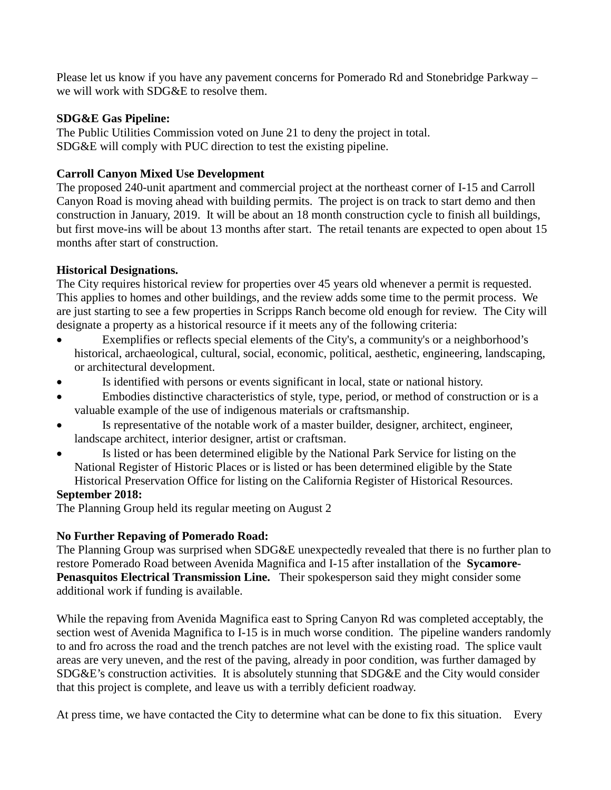Please let us know if you have any pavement concerns for Pomerado Rd and Stonebridge Parkway – we will work with SDG&E to resolve them.

### **SDG&E Gas Pipeline:**

The Public Utilities Commission voted on June 21 to deny the project in total. SDG&E will comply with PUC direction to test the existing pipeline.

### **Carroll Canyon Mixed Use Development**

The proposed 240-unit apartment and commercial project at the northeast corner of I-15 and Carroll Canyon Road is moving ahead with building permits. The project is on track to start demo and then construction in January, 2019. It will be about an 18 month construction cycle to finish all buildings, but first move-ins will be about 13 months after start. The retail tenants are expected to open about 15 months after start of construction.

## **Historical Designations.**

The City requires historical review for properties over 45 years old whenever a permit is requested. This applies to homes and other buildings, and the review adds some time to the permit process. We are just starting to see a few properties in Scripps Ranch become old enough for review. The City will designate a property as a historical resource if it meets any of the following criteria:

- Exemplifies or reflects special elements of the City's, a community's or a neighborhood's historical, archaeological, cultural, social, economic, political, aesthetic, engineering, landscaping, or architectural development.
- Is identified with persons or events significant in local, state or national history.
- Embodies distinctive characteristics of style, type, period, or method of construction or is a valuable example of the use of indigenous materials or craftsmanship.
- Is representative of the notable work of a master builder, designer, architect, engineer, landscape architect, interior designer, artist or craftsman.
- Is listed or has been determined eligible by the National Park Service for listing on the National Register of Historic Places or is listed or has been determined eligible by the State Historical Preservation Office for listing on the California Register of Historical Resources.

### **September 2018:**

The Planning Group held its regular meeting on August 2

### **No Further Repaving of Pomerado Road:**

The Planning Group was surprised when SDG&E unexpectedly revealed that there is no further plan to restore Pomerado Road between Avenida Magnifica and I-15 after installation of the **Sycamore-Penasquitos Electrical Transmission Line.** Their spokesperson said they might consider some additional work if funding is available.

While the repaving from Avenida Magnifica east to Spring Canyon Rd was completed acceptably, the section west of Avenida Magnifica to I-15 is in much worse condition. The pipeline wanders randomly to and fro across the road and the trench patches are not level with the existing road. The splice vault areas are very uneven, and the rest of the paving, already in poor condition, was further damaged by SDG&E's construction activities. It is absolutely stunning that SDG&E and the City would consider that this project is complete, and leave us with a terribly deficient roadway.

At press time, we have contacted the City to determine what can be done to fix this situation. Every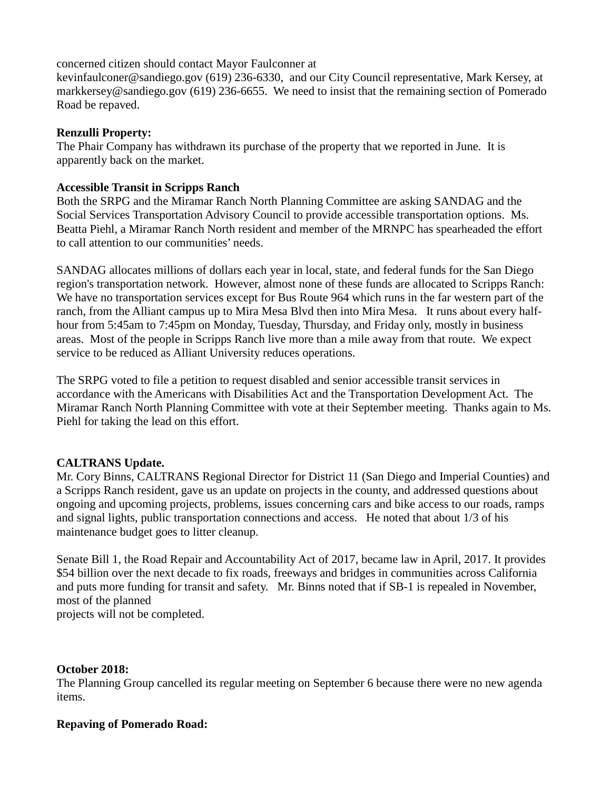concerned citizen should contact Mayor Faulconner at

[kevinfaulconer@sandiego.gov](mailto:kevinfaulconer@sandiego.gov) (619) 236-6330, and our City Council representative, Mark Kersey, at [markkersey@sandiego.gov](mailto:markkersey@sandiego.gov) (619) 236-6655. We need to insist that the remaining section of Pomerado Road be repaved.

### **Renzulli Property:**

The Phair Company has withdrawn its purchase of the property that we reported in June. It is apparently back on the market.

### **Accessible Transit in Scripps Ranch**

Both the SRPG and the Miramar Ranch North Planning Committee are asking SANDAG and the Social Services Transportation Advisory Council to provide accessible transportation options. Ms. Beatta Piehl, a Miramar Ranch North resident and member of the MRNPC has spearheaded the effort to call attention to our communities' needs.

SANDAG allocates millions of dollars each year in local, state, and federal funds for the San Diego region's transportation network. However, almost none of these funds are allocated to Scripps Ranch: We have no transportation services except for Bus Route 964 which runs in the far western part of the ranch, from the Alliant campus up to Mira Mesa Blvd then into Mira Mesa. It runs about every halfhour from 5:45am to 7:45pm on Monday, Tuesday, Thursday, and Friday only, mostly in business areas. Most of the people in Scripps Ranch live more than a mile away from that route. We expect service to be reduced as Alliant University reduces operations.

The SRPG voted to file a petition to request disabled and senior accessible transit services in accordance with the Americans with Disabilities Act and the Transportation Development Act. The Miramar Ranch North Planning Committee with vote at their September meeting. Thanks again to Ms. Piehl for taking the lead on this effort.

### **CALTRANS Update.**

Mr. Cory Binns, CALTRANS Regional Director for District 11 (San Diego and Imperial Counties) and a Scripps Ranch resident, gave us an update on projects in the county, and addressed questions about ongoing and upcoming projects, problems, issues concerning cars and bike access to our roads, ramps and signal lights, public transportation connections and access. He noted that about 1/3 of his maintenance budget goes to litter cleanup.

Senate Bill 1, the [Road Repair and Accountability Act of 2017,](https://leginfo.legislature.ca.gov/faces/billNavClient.xhtml?bill_id=201720180SB1) became law in April, 2017. It provides \$54 billion over the next decade to fix roads, freeways and bridges in communities across California and puts more funding for transit and safety. Mr. Binns noted that if SB-1 is repealed in November, most of the planned projects will not be completed.

#### **October 2018:**

The Planning Group cancelled its regular meeting on September 6 because there were no new agenda items.

#### **Repaving of Pomerado Road:**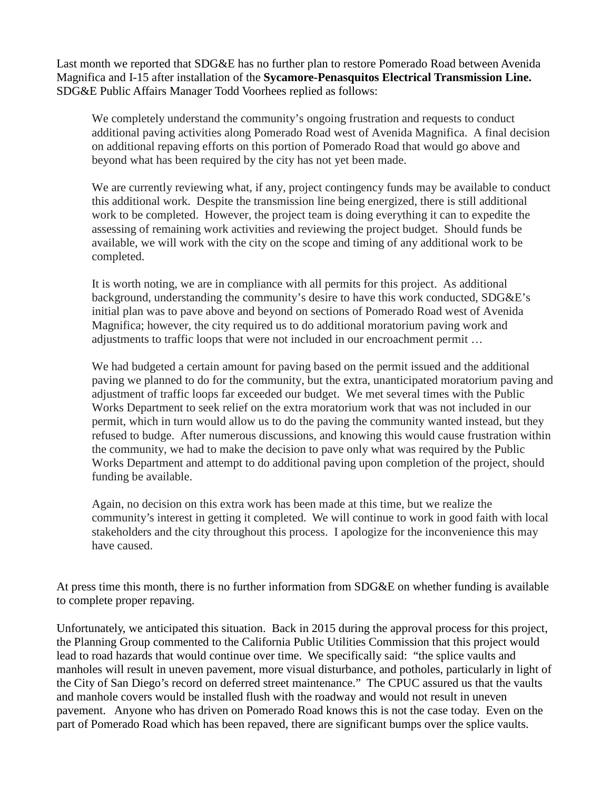Last month we reported that SDG&E has no further plan to restore Pomerado Road between Avenida Magnifica and I-15 after installation of the **Sycamore-Penasquitos Electrical Transmission Line.**  SDG&E Public Affairs Manager Todd Voorhees replied as follows:

We completely understand the community's ongoing frustration and requests to conduct additional paving activities along Pomerado Road west of Avenida Magnifica. A final decision on additional repaving efforts on this portion of Pomerado Road that would go above and beyond what has been required by the city has not yet been made.

We are currently reviewing what, if any, project contingency funds may be available to conduct this additional work. Despite the transmission line being energized, there is still additional work to be completed. However, the project team is doing everything it can to expedite the assessing of remaining work activities and reviewing the project budget. Should funds be available, we will work with the city on the scope and timing of any additional work to be completed.

It is worth noting, we are in compliance with all permits for this project. As additional background, understanding the community's desire to have this work conducted, SDG&E's initial plan was to pave above and beyond on sections of Pomerado Road west of Avenida Magnifica; however, the city required us to do additional moratorium paving work and adjustments to traffic loops that were not included in our encroachment permit …

We had budgeted a certain amount for paving based on the permit issued and the additional paving we planned to do for the community, but the extra, unanticipated moratorium paving and adjustment of traffic loops far exceeded our budget. We met several times with the Public Works Department to seek relief on the extra moratorium work that was not included in our permit, which in turn would allow us to do the paving the community wanted instead, but they refused to budge. After numerous discussions, and knowing this would cause frustration within the community, we had to make the decision to pave only what was required by the Public Works Department and attempt to do additional paving upon completion of the project, should funding be available.

Again, no decision on this extra work has been made at this time, but we realize the community's interest in getting it completed. We will continue to work in good faith with local stakeholders and the city throughout this process. I apologize for the inconvenience this may have caused.

At press time this month, there is no further information from SDG&E on whether funding is available to complete proper repaving.

Unfortunately, we anticipated this situation. Back in 2015 during the approval process for this project, the Planning Group commented to the California Public Utilities Commission that this project would lead to road hazards that would continue over time. We specifically said: "the splice vaults and manholes will result in uneven pavement, more visual disturbance, and potholes, particularly in light of the City of San Diego's record on deferred street maintenance." The CPUC assured us that the vaults and manhole covers would be installed flush with the roadway and would not result in uneven pavement. Anyone who has driven on Pomerado Road knows this is not the case today. Even on the part of Pomerado Road which has been repaved, there are significant bumps over the splice vaults.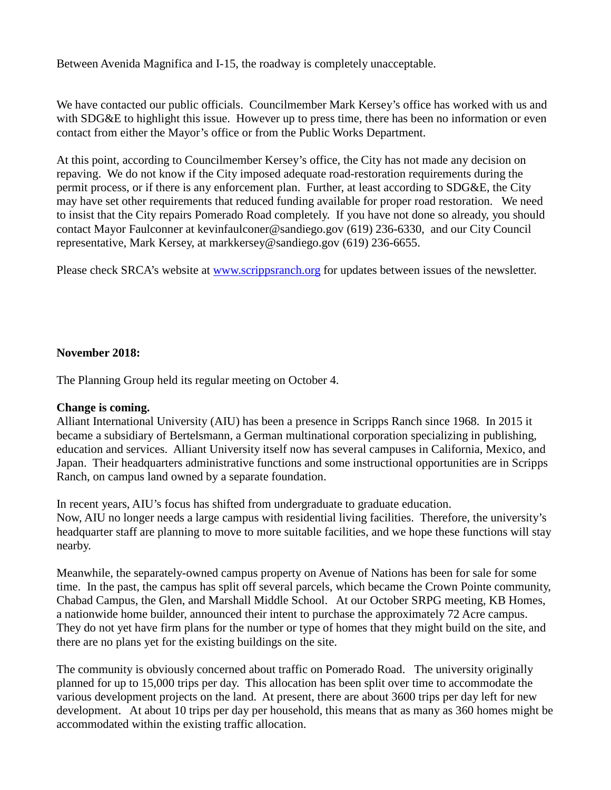Between Avenida Magnifica and I-15, the roadway is completely unacceptable.

We have contacted our public officials. Councilmember Mark Kersey's office has worked with us and with SDG&E to highlight this issue. However up to press time, there has been no information or even contact from either the Mayor's office or from the Public Works Department.

At this point, according to Councilmember Kersey's office, the City has not made any decision on repaving. We do not know if the City imposed adequate road-restoration requirements during the permit process, or if there is any enforcement plan. Further, at least according to SDG&E, the City may have set other requirements that reduced funding available for proper road restoration. We need to insist that the City repairs Pomerado Road completely. If you have not done so already, you should contact Mayor Faulconner at [kevinfaulconer@sandiego.gov](mailto:kevinfaulconer@sandiego.gov) (619) 236-6330, and our City Council representative, Mark Kersey, at [markkersey@sandiego.gov](mailto:markkersey@sandiego.gov) (619) 236-6655.

Please check SRCA's website at [www.scrippsranch.org](http://www.scrippsranch.org/) for updates between issues of the newsletter.

### **November 2018:**

The Planning Group held its regular meeting on October 4.

#### **Change is coming.**

Alliant International University (AIU) has been a presence in Scripps Ranch since 1968. In 2015 it became a subsidiary of Bertelsmann, a German multinational corporation specializing in publishing, education and services. Alliant University itself now has several campuses in California, Mexico, and Japan. Their headquarters administrative functions and some instructional opportunities are in Scripps Ranch, on campus land owned by a separate foundation.

In recent years, AIU's focus has shifted from undergraduate to graduate education. Now, AIU no longer needs a large campus with residential living facilities. Therefore, the university's headquarter staff are planning to move to more suitable facilities, and we hope these functions will stay nearby.

Meanwhile, the separately-owned campus property on Avenue of Nations has been for sale for some time. In the past, the campus has split off several parcels, which became the Crown Pointe community, Chabad Campus, the Glen, and Marshall Middle School. At our October SRPG meeting, KB Homes, a nationwide home builder, announced their intent to purchase the approximately 72 Acre campus. They do not yet have firm plans for the number or type of homes that they might build on the site, and there are no plans yet for the existing buildings on the site.

The community is obviously concerned about traffic on Pomerado Road. The university originally planned for up to 15,000 trips per day. This allocation has been split over time to accommodate the various development projects on the land. At present, there are about 3600 trips per day left for new development. At about 10 trips per day per household, this means that as many as 360 homes might be accommodated within the existing traffic allocation.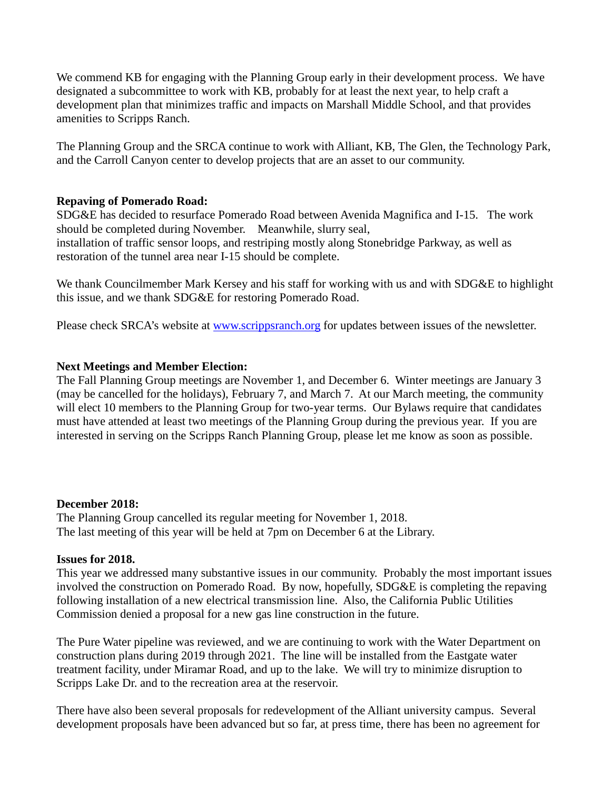We commend KB for engaging with the Planning Group early in their development process. We have designated a subcommittee to work with KB, probably for at least the next year, to help craft a development plan that minimizes traffic and impacts on Marshall Middle School, and that provides amenities to Scripps Ranch.

The Planning Group and the SRCA continue to work with Alliant, KB, The Glen, the Technology Park, and the Carroll Canyon center to develop projects that are an asset to our community.

### **Repaving of Pomerado Road:**

SDG&E has decided to resurface Pomerado Road between Avenida Magnifica and I-15. The work should be completed during November. Meanwhile, slurry seal, installation of traffic sensor loops, and restriping mostly along Stonebridge Parkway, as well as restoration of the tunnel area near I-15 should be complete.

We thank Councilmember Mark Kersey and his staff for working with us and with SDG&E to highlight this issue, and we thank SDG&E for restoring Pomerado Road.

Please check SRCA's website at [www.scrippsranch.org](http://www.scrippsranch.org/) for updates between issues of the newsletter.

### **Next Meetings and Member Election:**

The Fall Planning Group meetings are November 1, and December 6. Winter meetings are January 3 (may be cancelled for the holidays), February 7, and March 7. At our March meeting, the community will elect 10 members to the Planning Group for two-year terms. Our Bylaws require that candidates must have attended at least two meetings of the Planning Group during the previous year. If you are interested in serving on the Scripps Ranch Planning Group, please let me know as soon as possible.

### **December 2018:**

The Planning Group cancelled its regular meeting for November 1, 2018. The last meeting of this year will be held at 7pm on December 6 at the Library.

### **Issues for 2018.**

This year we addressed many substantive issues in our community. Probably the most important issues involved the construction on Pomerado Road. By now, hopefully, SDG&E is completing the repaving following installation of a new electrical transmission line. Also, the California Public Utilities Commission denied a proposal for a new gas line construction in the future.

The Pure Water pipeline was reviewed, and we are continuing to work with the Water Department on construction plans during 2019 through 2021. The line will be installed from the Eastgate water treatment facility, under Miramar Road, and up to the lake. We will try to minimize disruption to Scripps Lake Dr. and to the recreation area at the reservoir.

There have also been several proposals for redevelopment of the Alliant university campus. Several development proposals have been advanced but so far, at press time, there has been no agreement for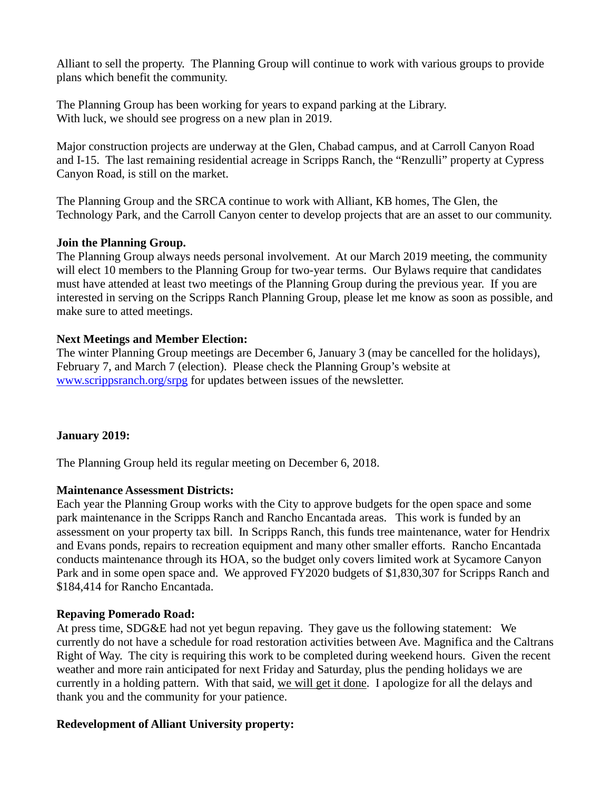Alliant to sell the property. The Planning Group will continue to work with various groups to provide plans which benefit the community.

The Planning Group has been working for years to expand parking at the Library. With luck, we should see progress on a new plan in 2019.

Major construction projects are underway at the Glen, Chabad campus, and at Carroll Canyon Road and I-15. The last remaining residential acreage in Scripps Ranch, the "Renzulli" property at Cypress Canyon Road, is still on the market.

The Planning Group and the SRCA continue to work with Alliant, KB homes, The Glen, the Technology Park, and the Carroll Canyon center to develop projects that are an asset to our community.

### **Join the Planning Group.**

The Planning Group always needs personal involvement. At our March 2019 meeting, the community will elect 10 members to the Planning Group for two-year terms. Our Bylaws require that candidates must have attended at least two meetings of the Planning Group during the previous year. If you are interested in serving on the Scripps Ranch Planning Group, please let me know as soon as possible, and make sure to atted meetings.

### **Next Meetings and Member Election:**

The winter Planning Group meetings are December 6, January 3 (may be cancelled for the holidays), February 7, and March 7 (election). Please check the Planning Group's website at www.scrippsranch.org/srpg for updates between issues of the newsletter.

### **January 2019:**

The Planning Group held its regular meeting on December 6, 2018.

### **Maintenance Assessment Districts:**

Each year the Planning Group works with the City to approve budgets for the open space and some park maintenance in the Scripps Ranch and Rancho Encantada areas. This work is funded by an assessment on your property tax bill. In Scripps Ranch, this funds tree maintenance, water for Hendrix and Evans ponds, repairs to recreation equipment and many other smaller efforts. Rancho Encantada conducts maintenance through its HOA, so the budget only covers limited work at Sycamore Canyon Park and in some open space and. We approved FY2020 budgets of \$1,830,307 for Scripps Ranch and \$184,414 for Rancho Encantada.

### **Repaving Pomerado Road:**

At press time, SDG&E had not yet begun repaving. They gave us the following statement: We currently do not have a schedule for road restoration activities between Ave. Magnifica and the Caltrans Right of Way. The city is requiring this work to be completed during weekend hours. Given the recent weather and more rain anticipated for next Friday and Saturday, plus the pending holidays we are currently in a holding pattern. With that said, we will get it done. I apologize for all the delays and thank you and the community for your patience.

### **Redevelopment of Alliant University property:**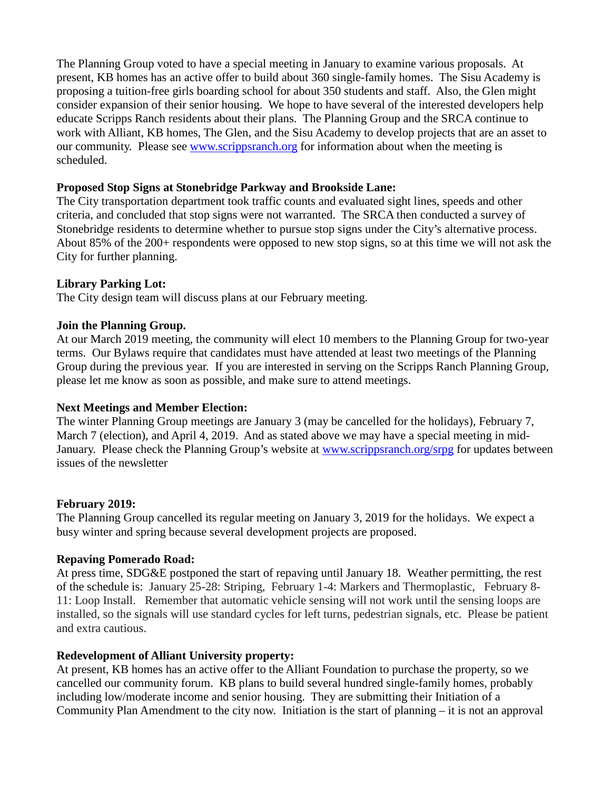The Planning Group voted to have a special meeting in January to examine various proposals. At present, KB homes has an active offer to build about 360 single-family homes. The Sisu Academy is proposing a tuition-free girls boarding school for about 350 students and staff. Also, the Glen might consider expansion of their senior housing. We hope to have several of the interested developers help educate Scripps Ranch residents about their plans. The Planning Group and the SRCA continue to work with Alliant, KB homes, The Glen, and the Sisu Academy to develop projects that are an asset to our community. Please see [www.scrippsranch.org](http://www.scrippsranch.org/) for information about when the meeting is scheduled.

### **Proposed Stop Signs at Stonebridge Parkway and Brookside Lane:**

The City transportation department took traffic counts and evaluated sight lines, speeds and other criteria, and concluded that stop signs were not warranted. The SRCA then conducted a survey of Stonebridge residents to determine whether to pursue stop signs under the City's alternative process. About 85% of the 200+ respondents were opposed to new stop signs, so at this time we will not ask the City for further planning.

### **Library Parking Lot:**

The City design team will discuss plans at our February meeting.

### **Join the Planning Group.**

At our March 2019 meeting, the community will elect 10 members to the Planning Group for two-year terms. Our Bylaws require that candidates must have attended at least two meetings of the Planning Group during the previous year. If you are interested in serving on the Scripps Ranch Planning Group, please let me know as soon as possible, and make sure to attend meetings.

#### **Next Meetings and Member Election:**

The winter Planning Group meetings are January 3 (may be cancelled for the holidays), February 7, March 7 (election), and April 4, 2019. And as stated above we may have a special meeting in mid-January. Please check the Planning Group's website at www.scrippsranch.org/srpg for updates between issues of the newsletter

#### **February 2019:**

The Planning Group cancelled its regular meeting on January 3, 2019 for the holidays. We expect a busy winter and spring because several development projects are proposed.

#### **Repaving Pomerado Road:**

At press time, SDG&E postponed the start of repaving until January 18. Weather permitting, the rest of the schedule is: January 25-28: Striping, February 1-4: Markers and Thermoplastic, February 8- 11: Loop Install. Remember that automatic vehicle sensing will not work until the sensing loops are installed, so the signals will use standard cycles for left turns, pedestrian signals, etc. Please be patient and extra cautious.

#### **Redevelopment of Alliant University property:**

At present, KB homes has an active offer to the Alliant Foundation to purchase the property, so we cancelled our community forum. KB plans to build several hundred single-family homes, probably including low/moderate income and senior housing. They are submitting their Initiation of a Community Plan Amendment to the city now. Initiation is the start of planning  $-$  it is not an approval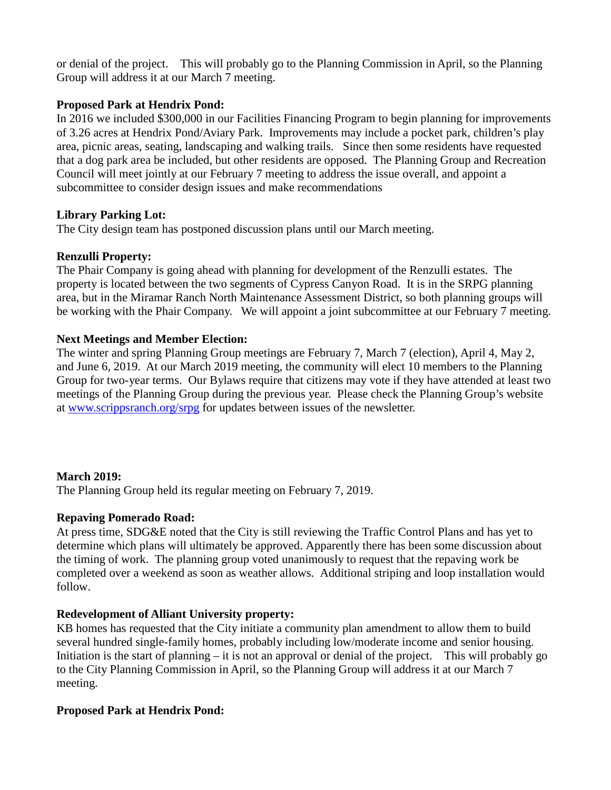or denial of the project. This will probably go to the Planning Commission in April, so the Planning Group will address it at our March 7 meeting.

### **Proposed Park at Hendrix Pond:**

In 2016 we included \$300,000 in our Facilities Financing Program to begin planning for improvements of 3.26 acres at Hendrix Pond/Aviary Park. Improvements may include a pocket park, children's play area, picnic areas, seating, landscaping and walking trails. Since then some residents have requested that a dog park area be included, but other residents are opposed. The Planning Group and Recreation Council will meet jointly at our February 7 meeting to address the issue overall, and appoint a subcommittee to consider design issues and make recommendations

## **Library Parking Lot:**

The City design team has postponed discussion plans until our March meeting.

## **Renzulli Property:**

The Phair Company is going ahead with planning for development of the Renzulli estates. The property is located between the two segments of Cypress Canyon Road. It is in the SRPG planning area, but in the Miramar Ranch North Maintenance Assessment District, so both planning groups will be working with the Phair Company. We will appoint a joint subcommittee at our February 7 meeting.

## **Next Meetings and Member Election:**

The winter and spring Planning Group meetings are February 7, March 7 (election), April 4, May 2, and June 6, 2019. At our March 2019 meeting, the community will elect 10 members to the Planning Group for two-year terms. Our Bylaws require that citizens may vote if they have attended at least two meetings of the Planning Group during the previous year. Please check the Planning Group's website at www.scrippsranch.org/srpg for updates between issues of the newsletter.

## **March 2019:**

The Planning Group held its regular meeting on February 7, 2019.

### **Repaving Pomerado Road:**

At press time, SDG&E noted that the City is still reviewing the Traffic Control Plans and has yet to determine which plans will ultimately be approved. Apparently there has been some discussion about the timing of work. The planning group voted unanimously to request that the repaving work be completed over a weekend as soon as weather allows. Additional striping and loop installation would follow.

## **Redevelopment of Alliant University property:**

KB homes has requested that the City initiate a community plan amendment to allow them to build several hundred single-family homes, probably including low/moderate income and senior housing. Initiation is the start of planning – it is not an approval or denial of the project. This will probably go to the City Planning Commission in April, so the Planning Group will address it at our March 7 meeting.

### **Proposed Park at Hendrix Pond:**